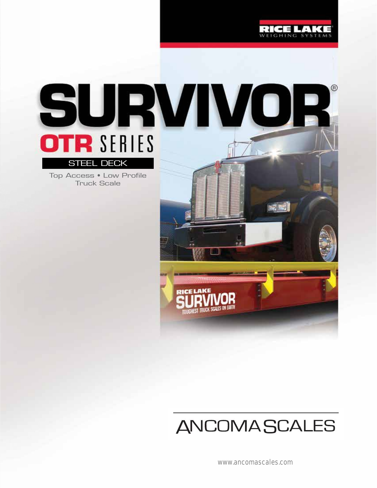

# SURVIVOR **OTR SERIES** STEEL DECK

Top Access • Low Profile Truck Scale



## **ANCOMASCALES**

www.ancomascales.com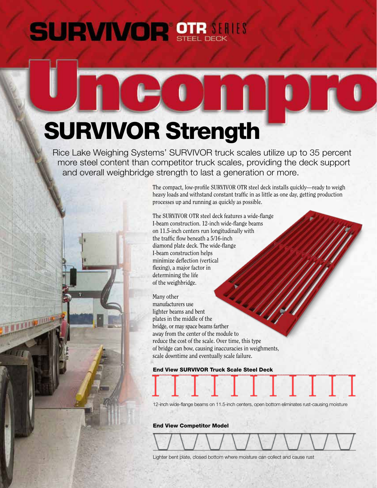## **SURVIVOR STRAINIS**

# SURVIVOR Strength

 Rice Lake Weighing Systems' SURVIVOR truck scales utilize up to 35 percent more steel content than competitor truck scales, providing the deck support and overall weighbridge strength to last a generation or more.

> The compact, low-profile SURVIVOR OTR steel deck installs quickly—ready to weigh heavy loads and withstand constant traffic in as little as one day, getting production processes up and running as quickly as possible.

The SURVIVOR OTR steel deck features a wide-flange I-beam construction. 12-inch wide-flange beams on 11.5-inch centers run longitudinally with the traffic flow beneath a 5/16-inch diamond plate deck. The wide-flange I-beam construction helps minimize deflection (vertical flexing), a major factor in determining the life of the weighbridge.

Many other manufacturers use lighter beams and bent plates in the middle of the bridge, or may space beams farther away from the center of the module to reduce the cost of the scale. Over time, this type of bridge can bow, causing inaccuracies in weighments, scale downtime and eventually scale failure.

End View SURVIVOR Truck Scale Steel Deck

12-inch wide-flange beams on 11.5-inch centers, open bottom eliminates rust-causing moisture

End View Competitor Model

Lighter bent plate, closed bottom where moisture can collect and cause rust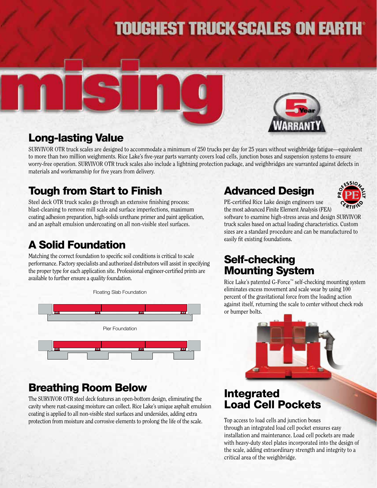## **TOUGHEST TRUCK SCALES ON EARTH**





## Long-lasting Value

SURVIVOR OTR truck scales are designed to accommodate a minimum of 250 trucks per day for 25 years without weighbridge fatigue—equivalent to more than two million weighments. Rice Lake's five-year parts warranty covers load cells, junction boxes and suspension systems to ensure worry-free operation. SURVIVOR OTR truck scales also include a lightning protection package, and weighbridges are warranted against defects in materials and workmanship for five years from delivery.

## Tough from Start to Finish

Steel deck OTR truck scales go through an extensive finishing process: blast-cleaning to remove mill scale and surface imperfections, maximum coating adhesion preparation, high-solids urethane primer and paint application, and an asphalt emulsion undercoating on all non-visible steel surfaces.

## A Solid Foundation

Matching the correct foundation to specific soil conditions is critical to scale performance. Factory specialists and authorized distributors will assist in specifying the proper type for each application site. Professional engineer-certified prints are available to further ensure a quality foundation.



## Breathing Room Below

The SURVIVOR OTR steel deck features an open-bottom design, eliminating the cavity where rust-causing moisture can collect. Rice Lake's unique asphalt emulsion coating is applied to all non-visible steel surfaces and undersides, adding extra protection from moisture and corrosive elements to prolong the life of the scale.

## Advanced Design



PE-certified Rice Lake design engineers use the most advanced Finite Element Analysis (FEA)

software to examine high-stress areas and design SURVIVOR truck scales based on actual loading characteristics. Custom sizes are a standard procedure and can be manufactured to easily fit existing foundations.

## Self-checking Mounting System

Rice Lake's patented G-Force™ self-checking mounting system eliminates excess movement and scale wear by using 100 percent of the gravitational force from the loading action against itself, returning the scale to center without check rods or bumper bolts.



## Integrated Load Cell Pockets

Top access to load cells and junction boxes through an integrated load cell pocket ensures easy installation and maintenance. Load cell pockets are made with heavy-duty steel plates incorporated into the design of the scale, adding extraordinary strength and integrity to a critical area of the weighbridge.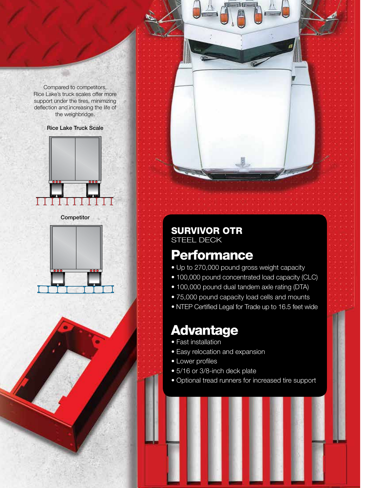Compared to competitors, Rice Lake's truck scales offer more support under the tires, minimizing deflection and increasing the life of the weighbridge.

#### Rice Lake Truck Scale



**Competitor** 





## **Performance**

- Up to 270,000 pound gross weight capacity
- 100,000 pound concentrated load capacity (CLC)
- 100,000 pound dual tandem axle rating (DTA)
- 75,000 pound capacity load cells and mounts
- NTEP Certified Legal for Trade up to 16.5 feet wide

## Advantage

- Fast installation
- Easy relocation and expansion
- Lower profiles
- 5/16 or 3/8-inch deck plate
- Optional tread runners for increased tire support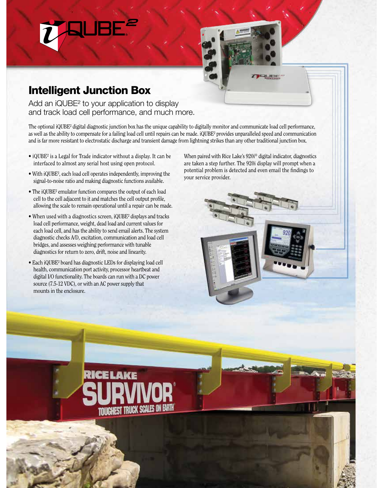## Intelligent Junction Box

Add an iQUBE<sup>2</sup> to your application to display and track load cell performance, and much more.

The optional iQUBE² digital diagnostic junction box has the unique capability to digitally monitor and communicate load cell performance, as well as the ability to compensate for a failing load cell until repairs can be made. iQUBE² provides unparalleled speed and communication and is far more resistant to electrostatic discharge and transient damage from lightning strikes than any other traditional junction box.

- iQUBE² is a Legal for Trade indicator without a display. It can be interfaced to almost any serial host using open protocol.
- With iQUBE<sup>2</sup>, each load cell operates independently, improving the signal-to-noise ratio and making diagnostic functions available.
- The iQUBE² emulator function compares the output of each load cell to the cell adjacent to it and matches the cell output profile, allowing the scale to remain operational until a repair can be made.
- When used with a diagnostics screen, iQUBE² displays and tracks load cell performance, weight, dead load and current values for each load cell, and has the ability to send email alerts. The system diagnostic checks A/D, excitation, communication and load cell bridges, and assesses weighing performance with tunable diagnostics for return to zero, drift, noise and linearity.
- Each iQUBE² board has diagnostic LEDs for displaying load cell health, communication port activity, processor heartbeat and digital I/O functionality. The boards can run with a DC power source (7.5-12 VDC), or with an AC power supply that mounts in the enclosure.

TRUCK SCALES ON EARTH

When paired with Rice Lake's 920i® digital indicator, diagnostics are taken a step further. The 920i display will prompt when a potential problem is detected and even email the findings to your service provider.